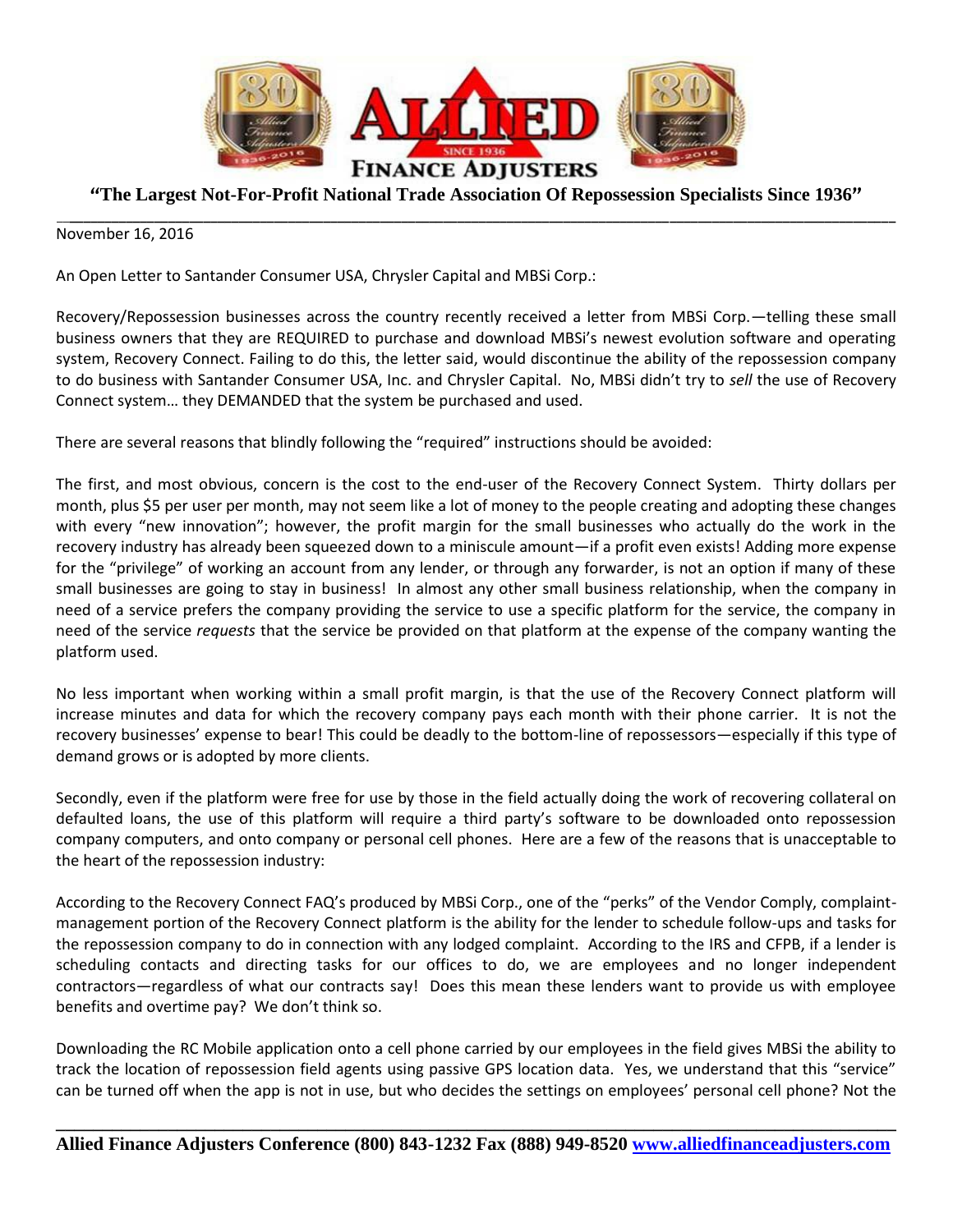

#### **"The Largest Not-For-Profit National Trade Association Of Repossession Specialists Since 1936"** \_\_**\_\_\_\_\_\_\_\_\_\_\_\_\_\_\_\_\_\_\_\_\_\_\_\_\_\_\_\_\_\_\_\_\_\_\_\_\_\_\_\_\_\_\_\_\_\_\_\_\_\_\_\_\_\_\_\_\_\_\_\_\_\_\_\_\_\_\_\_\_\_\_\_\_\_\_\_\_\_\_\_\_\_\_\_\_\_\_\_\_\_\_\_\_\_\_\_\_\_\_\_\_\_\_\_\_\_\_\_\_\_\_\_\_\_\_\_\_**

November 16, 2016

An Open Letter to Santander Consumer USA, Chrysler Capital and MBSi Corp.:

Recovery/Repossession businesses across the country recently received a letter from MBSi Corp.—telling these small business owners that they are REQUIRED to purchase and download MBSi's newest evolution software and operating system, Recovery Connect. Failing to do this, the letter said, would discontinue the ability of the repossession company to do business with Santander Consumer USA, Inc. and Chrysler Capital. No, MBSi didn't try to *sell* the use of Recovery Connect system… they DEMANDED that the system be purchased and used.

There are several reasons that blindly following the "required" instructions should be avoided:

The first, and most obvious, concern is the cost to the end-user of the Recovery Connect System. Thirty dollars per month, plus \$5 per user per month, may not seem like a lot of money to the people creating and adopting these changes with every "new innovation"; however, the profit margin for the small businesses who actually do the work in the recovery industry has already been squeezed down to a miniscule amount—if a profit even exists! Adding more expense for the "privilege" of working an account from any lender, or through any forwarder, is not an option if many of these small businesses are going to stay in business! In almost any other small business relationship, when the company in need of a service prefers the company providing the service to use a specific platform for the service, the company in need of the service *requests* that the service be provided on that platform at the expense of the company wanting the platform used.

No less important when working within a small profit margin, is that the use of the Recovery Connect platform will increase minutes and data for which the recovery company pays each month with their phone carrier. It is not the recovery businesses' expense to bear! This could be deadly to the bottom-line of repossessors—especially if this type of demand grows or is adopted by more clients.

Secondly, even if the platform were free for use by those in the field actually doing the work of recovering collateral on defaulted loans, the use of this platform will require a third party's software to be downloaded onto repossession company computers, and onto company or personal cell phones. Here are a few of the reasons that is unacceptable to the heart of the repossession industry:

According to the Recovery Connect FAQ's produced by MBSi Corp., one of the "perks" of the Vendor Comply, complaintmanagement portion of the Recovery Connect platform is the ability for the lender to schedule follow-ups and tasks for the repossession company to do in connection with any lodged complaint. According to the IRS and CFPB, if a lender is scheduling contacts and directing tasks for our offices to do, we are employees and no longer independent contractors—regardless of what our contracts say! Does this mean these lenders want to provide us with employee benefits and overtime pay? We don't think so.

Downloading the RC Mobile application onto a cell phone carried by our employees in the field gives MBSi the ability to track the location of repossession field agents using passive GPS location data. Yes, we understand that this "service" can be turned off when the app is not in use, but who decides the settings on employees' personal cell phone? Not the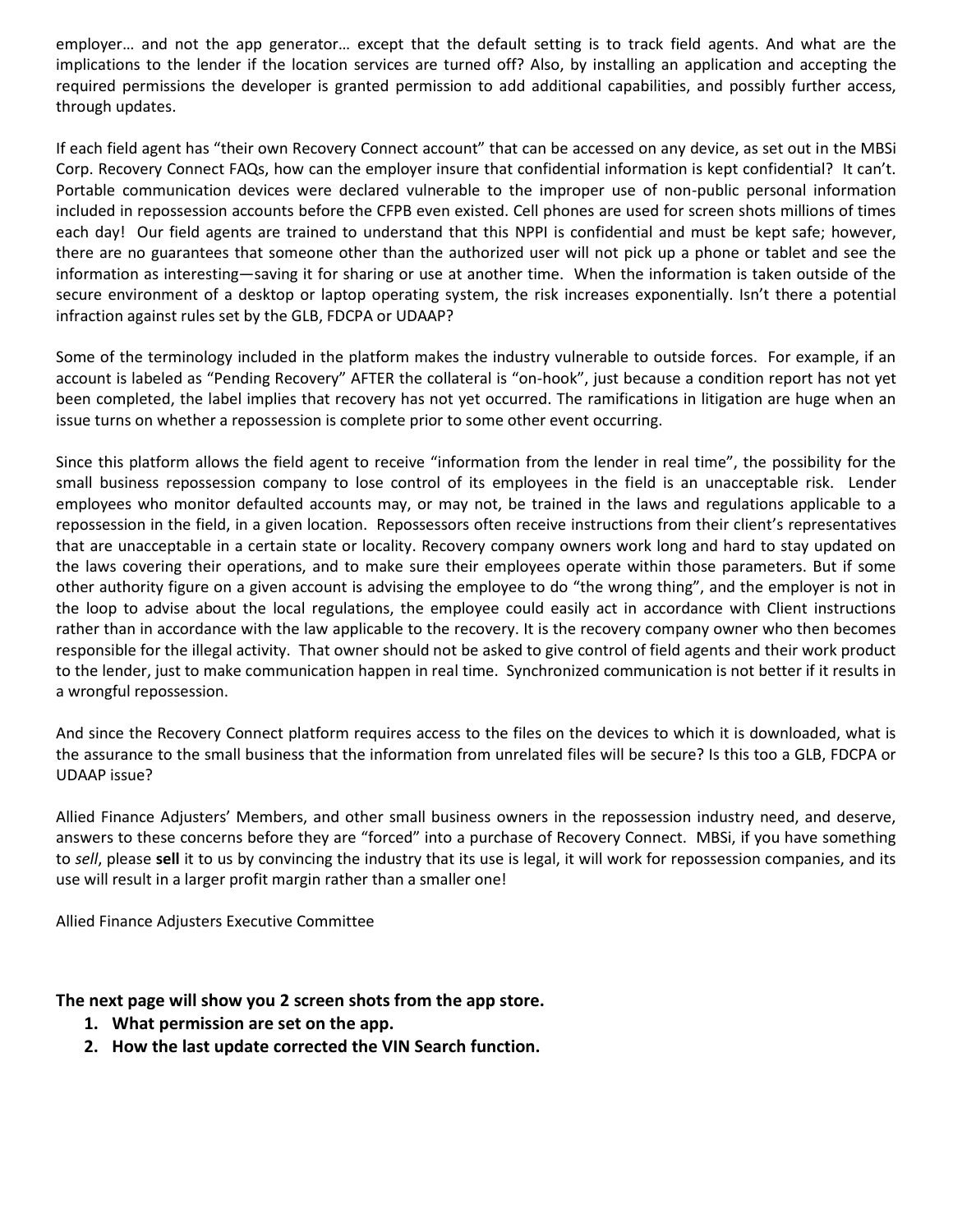employer… and not the app generator… except that the default setting is to track field agents. And what are the implications to the lender if the location services are turned off? Also, by installing an application and accepting the required permissions the developer is granted permission to add additional capabilities, and possibly further access, through updates.

If each field agent has "their own Recovery Connect account" that can be accessed on any device, as set out in the MBSi Corp. Recovery Connect FAQs, how can the employer insure that confidential information is kept confidential? It can't. Portable communication devices were declared vulnerable to the improper use of non-public personal information included in repossession accounts before the CFPB even existed. Cell phones are used for screen shots millions of times each day! Our field agents are trained to understand that this NPPI is confidential and must be kept safe; however, there are no guarantees that someone other than the authorized user will not pick up a phone or tablet and see the information as interesting—saving it for sharing or use at another time. When the information is taken outside of the secure environment of a desktop or laptop operating system, the risk increases exponentially. Isn't there a potential infraction against rules set by the GLB, FDCPA or UDAAP?

Some of the terminology included in the platform makes the industry vulnerable to outside forces. For example, if an account is labeled as "Pending Recovery" AFTER the collateral is "on-hook", just because a condition report has not yet been completed, the label implies that recovery has not yet occurred. The ramifications in litigation are huge when an issue turns on whether a repossession is complete prior to some other event occurring.

Since this platform allows the field agent to receive "information from the lender in real time", the possibility for the small business repossession company to lose control of its employees in the field is an unacceptable risk. Lender employees who monitor defaulted accounts may, or may not, be trained in the laws and regulations applicable to a repossession in the field, in a given location. Repossessors often receive instructions from their client's representatives that are unacceptable in a certain state or locality. Recovery company owners work long and hard to stay updated on the laws covering their operations, and to make sure their employees operate within those parameters. But if some other authority figure on a given account is advising the employee to do "the wrong thing", and the employer is not in the loop to advise about the local regulations, the employee could easily act in accordance with Client instructions rather than in accordance with the law applicable to the recovery. It is the recovery company owner who then becomes responsible for the illegal activity. That owner should not be asked to give control of field agents and their work product to the lender, just to make communication happen in real time. Synchronized communication is not better if it results in a wrongful repossession.

And since the Recovery Connect platform requires access to the files on the devices to which it is downloaded, what is the assurance to the small business that the information from unrelated files will be secure? Is this too a GLB, FDCPA or UDAAP issue?

Allied Finance Adjusters' Members, and other small business owners in the repossession industry need, and deserve, answers to these concerns before they are "forced" into a purchase of Recovery Connect. MBSi, if you have something to *sell*, please **sell** it to us by convincing the industry that its use is legal, it will work for repossession companies, and its use will result in a larger profit margin rather than a smaller one!

Allied Finance Adjusters Executive Committee

#### **The next page will show you 2 screen shots from the app store.**

- **1. What permission are set on the app.**
- **2. How the last update corrected the VIN Search function.**